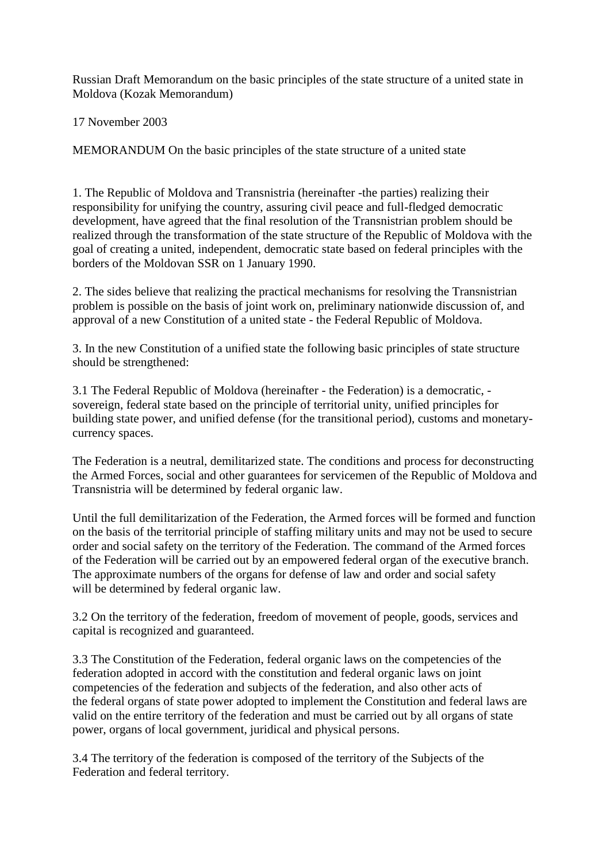Russian Draft Memorandum on the basic principles of the state structure of a united state in Moldova (Kozak Memorandum)

17 November 2003

MEMORANDUM On the basic principles of the state structure of a united state

1. The Republic of Moldova and Transnistria (hereinafter -the parties) realizing their responsibility for unifying the country, assuring civil peace and full-fledged democratic development, have agreed that the final resolution of the Transnistrian problem should be realized through the transformation of the state structure of the Republic of Moldova with the goal of creating a united, independent, democratic state based on federal principles with the borders of the Moldovan SSR on 1 January 1990.

2. The sides believe that realizing the practical mechanisms for resolving the Transnistrian problem is possible on the basis of joint work on, preliminary nationwide discussion of, and approval of a new Constitution of a united state - the Federal Republic of Moldova.

3. In the new Constitution of a unified state the following basic principles of state structure should be strengthened:

3.1 The Federal Republic of Moldova (hereinafter - the Federation) is a democratic, sovereign, federal state based on the principle of territorial unity, unified principles for building state power, and unified defense (for the transitional period), customs and monetarycurrency spaces.

The Federation is a neutral, demilitarized state. The conditions and process for deconstructing the Armed Forces, social and other guarantees for servicemen of the Republic of Moldova and Transnistria will be determined by federal organic law.

Until the full demilitarization of the Federation, the Armed forces will be formed and function on the basis of the territorial principle of staffing military units and may not be used to secure order and social safety on the territory of the Federation. The command of the Armed forces of the Federation will be carried out by an empowered federal organ of the executive branch. The approximate numbers of the organs for defense of law and order and social safety will be determined by federal organic law.

3.2 On the territory of the federation, freedom of movement of people, goods, services and capital is recognized and guaranteed.

3.3 The Constitution of the Federation, federal organic laws on the competencies of the federation adopted in accord with the constitution and federal organic laws on joint competencies of the federation and subjects of the federation, and also other acts of the federal organs of state power adopted to implement the Constitution and federal laws are valid on the entire territory of the federation and must be carried out by all organs of state power, organs of local government, juridical and physical persons.

3.4 The territory of the federation is composed of the territory of the Subjects of the Federation and federal territory.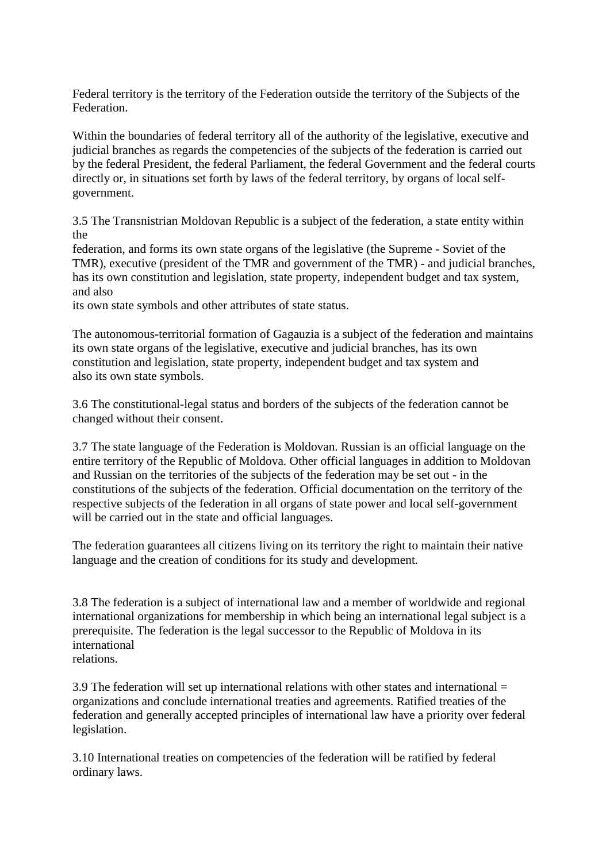Federal territory is the territory of the Federation outside the territory of the Subjects of the Federation.

Within the boundaries of federal territory all of the authority of the legislative, executive and judicial branches as regards the competencies of the subjects of the federation is carried out by the federal President, the federal Parliament, the federal Government and the federal courts directly or, in situations set forth by laws of the federal territory, by organs of local selfgovernment.

3.5 The Transnistrian Moldovan Republic is a subject of the federation, a state entity within the

federation, and forms its own state organs of the legislative (the Supreme - Soviet of the TMR), executive (president of the TMR and government of the TMR) - and judicial branches, has its own constitution and legislation, state property, independent budget and tax system, and also

its own state symbols and other attributes of state status.

The autonomous-territorial formation of Gagauzia is a subject of the federation and maintains its own state organs of the legislative, executive and judicial branches, has its own constitution and legislation, state property, independent budget and tax system and also its own state symbols.

3.6 The constitutional-legal status and borders of the subjects of the federation cannot be changed without their consent.

3.7 The state language of the Federation is Moldovan. Russian is an official language on the entire territory of the Republic of Moldova. Other official languages in addition to Moldovan and Russian on the territories of the subjects of the federation may be set out - in the constitutions of the subjects of the federation. Official documentation on the territory of the respective subjects of the federation in all organs of state power and local self-government will be carried out in the state and official languages.

The federation guarantees all citizens living on its territory the right to maintain their native language and the creation of conditions for its study and development.

3.8 The federation is a subject of international law and a member of worldwide and regional international organizations for membership in which being an international legal subject is a prerequisite. The federation is the legal successor to the Republic of Moldova in its international relations.

3.9 The federation will set up international relations with other states and international = organizations and conclude international treaties and agreements. Ratified treaties of the federation and generally accepted principles of international law have a priority over federal legislation.

3.10 International treaties on competencies of the federation will be ratified by federal ordinary laws.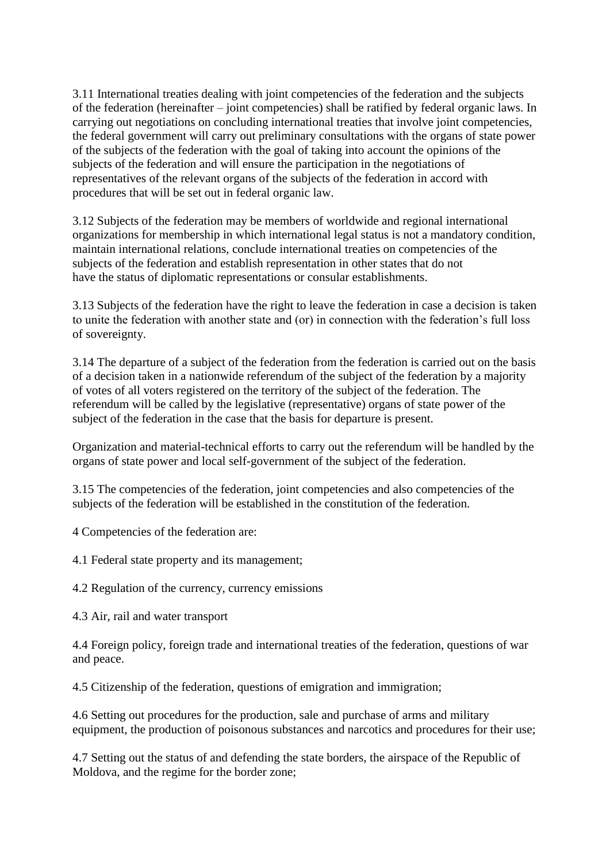3.11 International treaties dealing with joint competencies of the federation and the subjects of the federation (hereinafter – joint competencies) shall be ratified by federal organic laws. In carrying out negotiations on concluding international treaties that involve joint competencies, the federal government will carry out preliminary consultations with the organs of state power of the subjects of the federation with the goal of taking into account the opinions of the subjects of the federation and will ensure the participation in the negotiations of representatives of the relevant organs of the subjects of the federation in accord with procedures that will be set out in federal organic law.

3.12 Subjects of the federation may be members of worldwide and regional international organizations for membership in which international legal status is not a mandatory condition, maintain international relations, conclude international treaties on competencies of the subjects of the federation and establish representation in other states that do not have the status of diplomatic representations or consular establishments.

3.13 Subjects of the federation have the right to leave the federation in case a decision is taken to unite the federation with another state and (or) in connection with the federation's full loss of sovereignty.

3.14 The departure of a subject of the federation from the federation is carried out on the basis of a decision taken in a nationwide referendum of the subject of the federation by a majority of votes of all voters registered on the territory of the subject of the federation. The referendum will be called by the legislative (representative) organs of state power of the subject of the federation in the case that the basis for departure is present.

Organization and material-technical efforts to carry out the referendum will be handled by the organs of state power and local self-government of the subject of the federation.

3.15 The competencies of the federation, joint competencies and also competencies of the subjects of the federation will be established in the constitution of the federation.

4 Competencies of the federation are:

4.1 Federal state property and its management;

4.2 Regulation of the currency, currency emissions

4.3 Air, rail and water transport

4.4 Foreign policy, foreign trade and international treaties of the federation, questions of war and peace.

4.5 Citizenship of the federation, questions of emigration and immigration;

4.6 Setting out procedures for the production, sale and purchase of arms and military equipment, the production of poisonous substances and narcotics and procedures for their use;

4.7 Setting out the status of and defending the state borders, the airspace of the Republic of Moldova, and the regime for the border zone;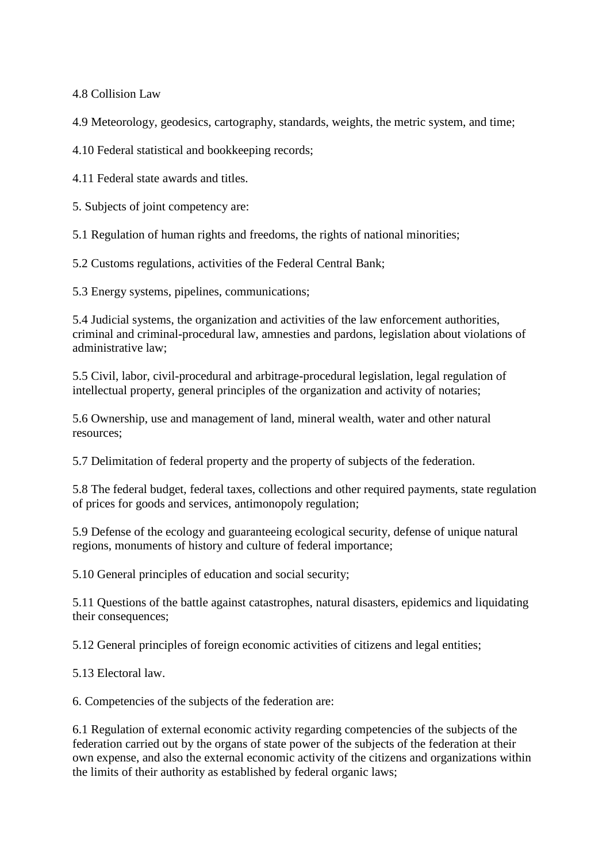4.8 Collision Law

4.9 Meteorology, geodesics, cartography, standards, weights, the metric system, and time;

4.10 Federal statistical and bookkeeping records;

4.11 Federal state awards and titles.

5. Subjects of joint competency are:

5.1 Regulation of human rights and freedoms, the rights of national minorities;

5.2 Customs regulations, activities of the Federal Central Bank;

5.3 Energy systems, pipelines, communications;

5.4 Judicial systems, the organization and activities of the law enforcement authorities, criminal and criminal-procedural law, amnesties and pardons, legislation about violations of administrative law;

5.5 Civil, labor, civil-procedural and arbitrage-procedural legislation, legal regulation of intellectual property, general principles of the organization and activity of notaries;

5.6 Ownership, use and management of land, mineral wealth, water and other natural resources;

5.7 Delimitation of federal property and the property of subjects of the federation.

5.8 The federal budget, federal taxes, collections and other required payments, state regulation of prices for goods and services, antimonopoly regulation;

5.9 Defense of the ecology and guaranteeing ecological security, defense of unique natural regions, monuments of history and culture of federal importance;

5.10 General principles of education and social security;

5.11 Questions of the battle against catastrophes, natural disasters, epidemics and liquidating their consequences;

5.12 General principles of foreign economic activities of citizens and legal entities;

5.13 Electoral law.

6. Competencies of the subjects of the federation are:

6.1 Regulation of external economic activity regarding competencies of the subjects of the federation carried out by the organs of state power of the subjects of the federation at their own expense, and also the external economic activity of the citizens and organizations within the limits of their authority as established by federal organic laws;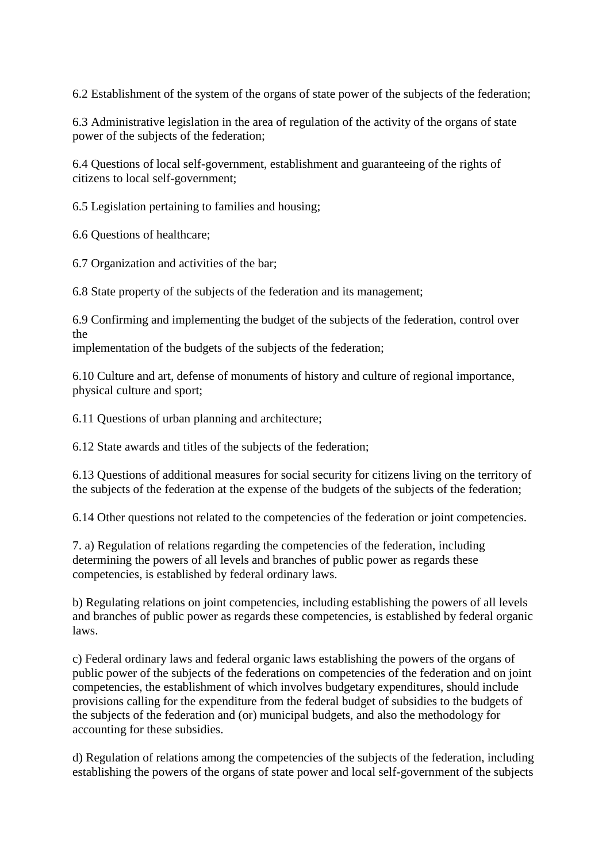6.2 Establishment of the system of the organs of state power of the subjects of the federation;

6.3 Administrative legislation in the area of regulation of the activity of the organs of state power of the subjects of the federation;

6.4 Questions of local self-government, establishment and guaranteeing of the rights of citizens to local self-government;

6.5 Legislation pertaining to families and housing;

6.6 Questions of healthcare;

6.7 Organization and activities of the bar;

6.8 State property of the subjects of the federation and its management;

6.9 Confirming and implementing the budget of the subjects of the federation, control over the

implementation of the budgets of the subjects of the federation;

6.10 Culture and art, defense of monuments of history and culture of regional importance, physical culture and sport;

6.11 Questions of urban planning and architecture;

6.12 State awards and titles of the subjects of the federation;

6.13 Questions of additional measures for social security for citizens living on the territory of the subjects of the federation at the expense of the budgets of the subjects of the federation;

6.14 Other questions not related to the competencies of the federation or joint competencies.

7. a) Regulation of relations regarding the competencies of the federation, including determining the powers of all levels and branches of public power as regards these competencies, is established by federal ordinary laws.

b) Regulating relations on joint competencies, including establishing the powers of all levels and branches of public power as regards these competencies, is established by federal organic laws.

c) Federal ordinary laws and federal organic laws establishing the powers of the organs of public power of the subjects of the federations on competencies of the federation and on joint competencies, the establishment of which involves budgetary expenditures, should include provisions calling for the expenditure from the federal budget of subsidies to the budgets of the subjects of the federation and (or) municipal budgets, and also the methodology for accounting for these subsidies.

d) Regulation of relations among the competencies of the subjects of the federation, including establishing the powers of the organs of state power and local self-government of the subjects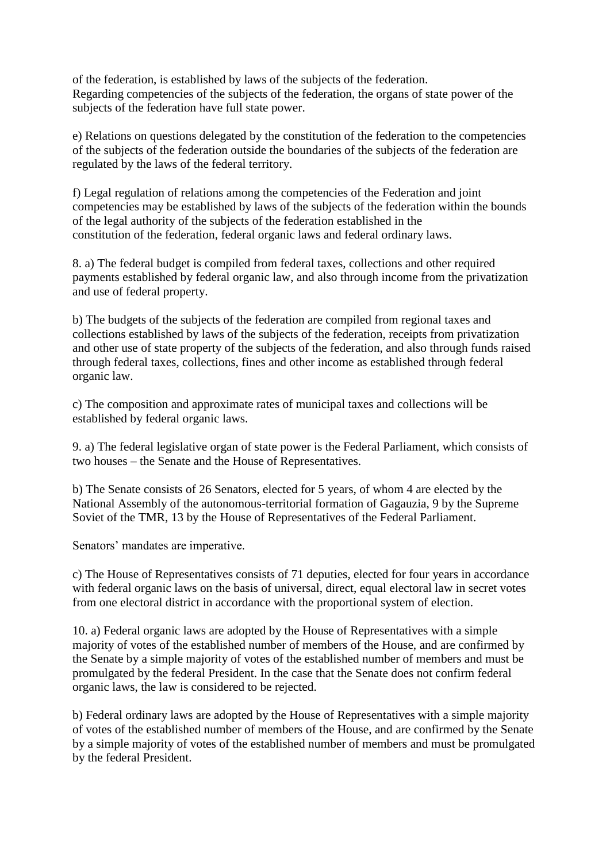of the federation, is established by laws of the subjects of the federation. Regarding competencies of the subjects of the federation, the organs of state power of the subjects of the federation have full state power.

e) Relations on questions delegated by the constitution of the federation to the competencies of the subjects of the federation outside the boundaries of the subjects of the federation are regulated by the laws of the federal territory.

f) Legal regulation of relations among the competencies of the Federation and joint competencies may be established by laws of the subjects of the federation within the bounds of the legal authority of the subjects of the federation established in the constitution of the federation, federal organic laws and federal ordinary laws.

8. a) The federal budget is compiled from federal taxes, collections and other required payments established by federal organic law, and also through income from the privatization and use of federal property.

b) The budgets of the subjects of the federation are compiled from regional taxes and collections established by laws of the subjects of the federation, receipts from privatization and other use of state property of the subjects of the federation, and also through funds raised through federal taxes, collections, fines and other income as established through federal organic law.

c) The composition and approximate rates of municipal taxes and collections will be established by federal organic laws.

9. a) The federal legislative organ of state power is the Federal Parliament, which consists of two houses – the Senate and the House of Representatives.

b) The Senate consists of 26 Senators, elected for 5 years, of whom 4 are elected by the National Assembly of the autonomous-territorial formation of Gagauzia, 9 by the Supreme Soviet of the TMR, 13 by the House of Representatives of the Federal Parliament.

Senators' mandates are imperative.

c) The House of Representatives consists of 71 deputies, elected for four years in accordance with federal organic laws on the basis of universal, direct, equal electoral law in secret votes from one electoral district in accordance with the proportional system of election.

10. a) Federal organic laws are adopted by the House of Representatives with a simple majority of votes of the established number of members of the House, and are confirmed by the Senate by a simple majority of votes of the established number of members and must be promulgated by the federal President. In the case that the Senate does not confirm federal organic laws, the law is considered to be rejected.

b) Federal ordinary laws are adopted by the House of Representatives with a simple majority of votes of the established number of members of the House, and are confirmed by the Senate by a simple majority of votes of the established number of members and must be promulgated by the federal President.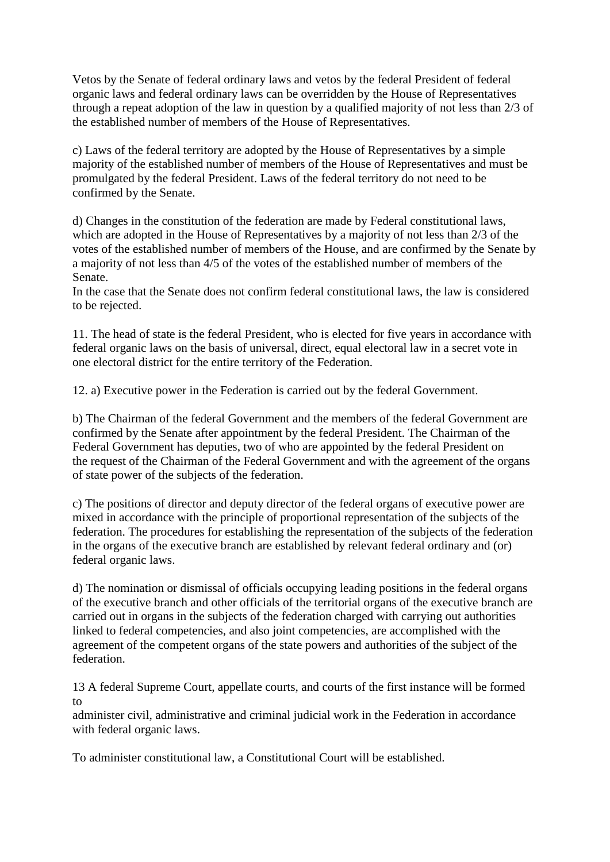Vetos by the Senate of federal ordinary laws and vetos by the federal President of federal organic laws and federal ordinary laws can be overridden by the House of Representatives through a repeat adoption of the law in question by a qualified majority of not less than 2/3 of the established number of members of the House of Representatives.

c) Laws of the federal territory are adopted by the House of Representatives by a simple majority of the established number of members of the House of Representatives and must be promulgated by the federal President. Laws of the federal territory do not need to be confirmed by the Senate.

d) Changes in the constitution of the federation are made by Federal constitutional laws, which are adopted in the House of Representatives by a majority of not less than 2/3 of the votes of the established number of members of the House, and are confirmed by the Senate by a majority of not less than 4/5 of the votes of the established number of members of the Senate.

In the case that the Senate does not confirm federal constitutional laws, the law is considered to be rejected.

11. The head of state is the federal President, who is elected for five years in accordance with federal organic laws on the basis of universal, direct, equal electoral law in a secret vote in one electoral district for the entire territory of the Federation.

12. a) Executive power in the Federation is carried out by the federal Government.

b) The Chairman of the federal Government and the members of the federal Government are confirmed by the Senate after appointment by the federal President. The Chairman of the Federal Government has deputies, two of who are appointed by the federal President on the request of the Chairman of the Federal Government and with the agreement of the organs of state power of the subjects of the federation.

c) The positions of director and deputy director of the federal organs of executive power are mixed in accordance with the principle of proportional representation of the subjects of the federation. The procedures for establishing the representation of the subjects of the federation in the organs of the executive branch are established by relevant federal ordinary and (or) federal organic laws.

d) The nomination or dismissal of officials occupying leading positions in the federal organs of the executive branch and other officials of the territorial organs of the executive branch are carried out in organs in the subjects of the federation charged with carrying out authorities linked to federal competencies, and also joint competencies, are accomplished with the agreement of the competent organs of the state powers and authorities of the subject of the federation.

13 A federal Supreme Court, appellate courts, and courts of the first instance will be formed to

administer civil, administrative and criminal judicial work in the Federation in accordance with federal organic laws.

To administer constitutional law, a Constitutional Court will be established.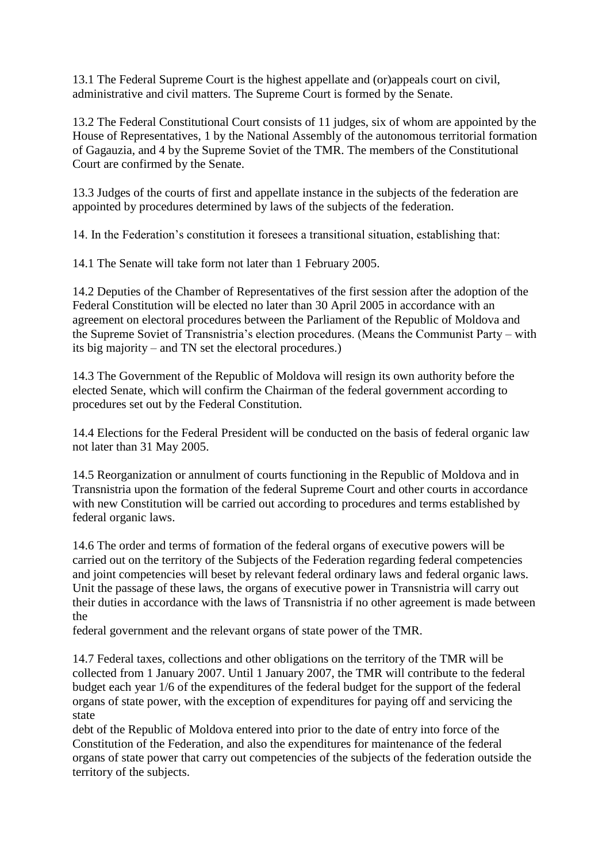13.1 The Federal Supreme Court is the highest appellate and (or)appeals court on civil, administrative and civil matters. The Supreme Court is formed by the Senate.

13.2 The Federal Constitutional Court consists of 11 judges, six of whom are appointed by the House of Representatives, 1 by the National Assembly of the autonomous territorial formation of Gagauzia, and 4 by the Supreme Soviet of the TMR. The members of the Constitutional Court are confirmed by the Senate.

13.3 Judges of the courts of first and appellate instance in the subjects of the federation are appointed by procedures determined by laws of the subjects of the federation.

14. In the Federation's constitution it foresees a transitional situation, establishing that:

14.1 The Senate will take form not later than 1 February 2005.

14.2 Deputies of the Chamber of Representatives of the first session after the adoption of the Federal Constitution will be elected no later than 30 April 2005 in accordance with an agreement on electoral procedures between the Parliament of the Republic of Moldova and the Supreme Soviet of Transnistria's election procedures. (Means the Communist Party – with its big majority – and TN set the electoral procedures.)

14.3 The Government of the Republic of Moldova will resign its own authority before the elected Senate, which will confirm the Chairman of the federal government according to procedures set out by the Federal Constitution.

14.4 Elections for the Federal President will be conducted on the basis of federal organic law not later than 31 May 2005.

14.5 Reorganization or annulment of courts functioning in the Republic of Moldova and in Transnistria upon the formation of the federal Supreme Court and other courts in accordance with new Constitution will be carried out according to procedures and terms established by federal organic laws.

14.6 The order and terms of formation of the federal organs of executive powers will be carried out on the territory of the Subjects of the Federation regarding federal competencies and joint competencies will beset by relevant federal ordinary laws and federal organic laws. Unit the passage of these laws, the organs of executive power in Transnistria will carry out their duties in accordance with the laws of Transnistria if no other agreement is made between the

federal government and the relevant organs of state power of the TMR.

14.7 Federal taxes, collections and other obligations on the territory of the TMR will be collected from 1 January 2007. Until 1 January 2007, the TMR will contribute to the federal budget each year 1/6 of the expenditures of the federal budget for the support of the federal organs of state power, with the exception of expenditures for paying off and servicing the state

debt of the Republic of Moldova entered into prior to the date of entry into force of the Constitution of the Federation, and also the expenditures for maintenance of the federal organs of state power that carry out competencies of the subjects of the federation outside the territory of the subjects.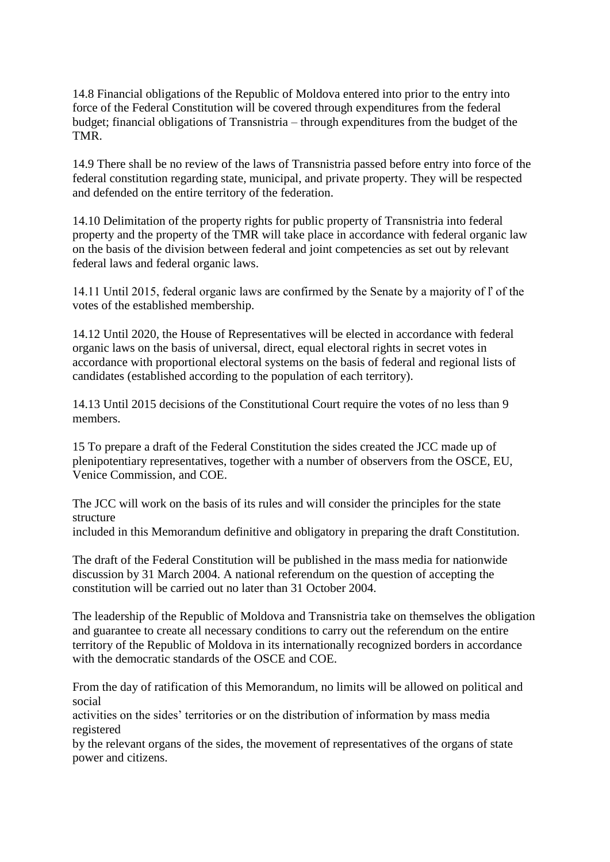14.8 Financial obligations of the Republic of Moldova entered into prior to the entry into force of the Federal Constitution will be covered through expenditures from the federal budget; financial obligations of Transnistria – through expenditures from the budget of the TMR.

14.9 There shall be no review of the laws of Transnistria passed before entry into force of the federal constitution regarding state, municipal, and private property. They will be respected and defended on the entire territory of the federation.

14.10 Delimitation of the property rights for public property of Transnistria into federal property and the property of the TMR will take place in accordance with federal organic law on the basis of the division between federal and joint competencies as set out by relevant federal laws and federal organic laws.

14.11 Until 2015, federal organic laws are confirmed by the Senate by a majority of ľ of the votes of the established membership.

14.12 Until 2020, the House of Representatives will be elected in accordance with federal organic laws on the basis of universal, direct, equal electoral rights in secret votes in accordance with proportional electoral systems on the basis of federal and regional lists of candidates (established according to the population of each territory).

14.13 Until 2015 decisions of the Constitutional Court require the votes of no less than 9 members.

15 To prepare a draft of the Federal Constitution the sides created the JCC made up of plenipotentiary representatives, together with a number of observers from the OSCE, EU, Venice Commission, and COE.

The JCC will work on the basis of its rules and will consider the principles for the state structure

included in this Memorandum definitive and obligatory in preparing the draft Constitution.

The draft of the Federal Constitution will be published in the mass media for nationwide discussion by 31 March 2004. A national referendum on the question of accepting the constitution will be carried out no later than 31 October 2004.

The leadership of the Republic of Moldova and Transnistria take on themselves the obligation and guarantee to create all necessary conditions to carry out the referendum on the entire territory of the Republic of Moldova in its internationally recognized borders in accordance with the democratic standards of the OSCE and COE.

From the day of ratification of this Memorandum, no limits will be allowed on political and social

activities on the sides' territories or on the distribution of information by mass media registered

by the relevant organs of the sides, the movement of representatives of the organs of state power and citizens.